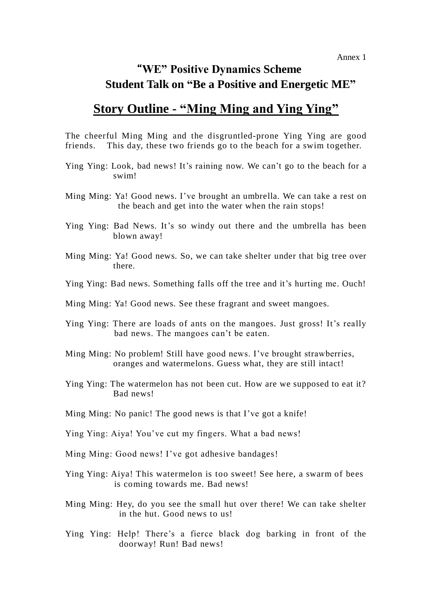## "**WE" Positive Dynamics Scheme Student Talk on "Be a Positive and Energetic ME"**

## **Story Outline - "Ming Ming and Ying Ying"**

The cheerful Ming Ming and the disgruntled-prone Ying Ying are good friends. This day, these two friends go to the beach for a swim together.

- Ying Ying: Look, bad news! It's raining now. We can't go to the beach for a swim!
- Ming Ming: Ya! Good news. I've brought an umbrella. We can take a rest on the beach and get into the water when the rain stops!
- Ying Ying: Bad News. It's so windy out there and the umbrella has been blown away!
- Ming Ming: Ya! Good news. So, we can take shelter under that big tree over there.
- Ying Ying: Bad news. Something falls off the tree and it's hurting me. Ouch!
- Ming Ming: Ya! Good news. See these fragrant and sweet mangoes.
- Ying Ying: There are loads of ants on the mangoes. Just gross! It's really bad news. The mangoes can't be eaten.
- Ming Ming: No problem! Still have good news. I've brought strawberries, oranges and watermelons. Guess what, they are still intact!
- Ying Ying: The watermelon has not been cut. How are we supposed to eat it? Bad news!
- Ming Ming: No panic! The good news is that I've got a knife!
- Ying Ying: Aiya! You've cut my fingers. What a bad news!
- Ming Ming: Good news! I've got adhesive bandages!
- Ying Ying: Aiya! This watermelon is too sweet! See here, a swarm of bees is coming towards me. Bad news!
- Ming Ming: Hey, do you see the small hut over there! We can take shelter in the hut. Good news to us!
- Ying Ying: Help! There's a fierce black dog barking in front of the doorway! Run! Bad news!